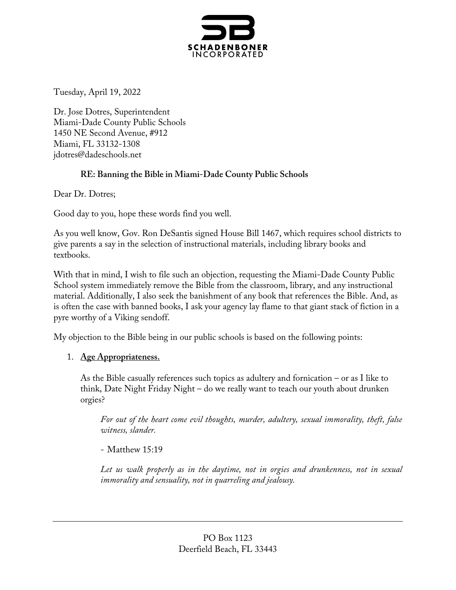

Tuesday, April 19, 2022

Dr. Jose Dotres, Superintendent Miami-Dade County Public Schools 1450 NE Second Avenue, #912 Miami, FL 33132-1308 jdotres@dadeschools.net

### **RE: Banning the Bible in Miami-Dade County Public Schools**

Dear Dr. Dotres;

Good day to you, hope these words find you well.

As you well know, Gov. Ron DeSantis signed House Bill 1467, which requires school districts to give parents a say in the selection of instructional materials, including library books and textbooks.

With that in mind, I wish to file such an objection, requesting the Miami-Dade County Public School system immediately remove the Bible from the classroom, library, and any instructional material. Additionally, I also seek the banishment of any book that references the Bible. And, as is often the case with banned books, I ask your agency lay flame to that giant stack of fiction in a pyre worthy of a Viking sendoff.

My objection to the Bible being in our public schools is based on the following points:

### 1. **Age Appropriateness.**

As the Bible casually references such topics as adultery and fornication – or as I like to think, Date Night Friday Night – do we really want to teach our youth about drunken orgies?

*For out of the heart come evil thoughts, murder, adultery, sexual immorality, theft, false witness, slander.* 

### - Matthew 15:19

*Let us walk properly as in the daytime, not in orgies and drunkenness, not in sexual immorality and sensuality, not in quarreling and jealousy.*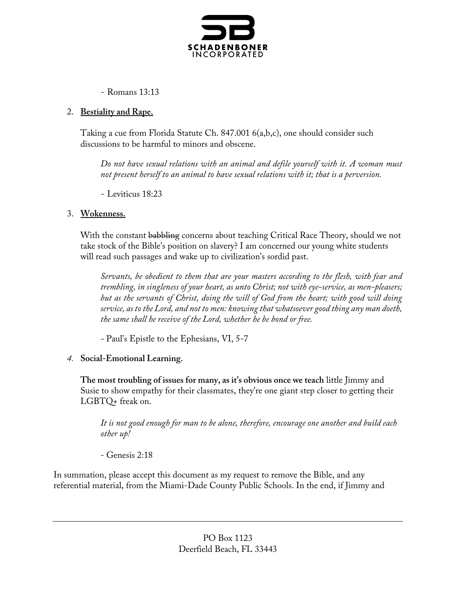

- Romans 13:13

## 2. **Bestiality and Rape.**

Taking a cue from Florida Statute Ch. 847.001 6(a,b,c), one should consider such discussions to be harmful to minors and obscene.

*Do not have sexual relations with an animal and defile yourself with it. A woman must not present herself to an animal to have sexual relations with it; that is a perversion.*

- Leviticus 18:23

# 3. **Wokenness.**

With the constant babbling concerns about teaching Critical Race Theory, should we not take stock of the Bible's position on slavery? I am concerned our young white students will read such passages and wake up to civilization's sordid past.

*Servants, be obedient to them that are your masters according to the flesh, with fear and trembling, in singleness of your heart, as unto Christ; not with eye-service, as men-pleasers; but as the servants of Christ, doing the will of God from the heart; with good will doing service, as to the Lord, and not to men: knowing that whatsoever good thing any man doeth, the same shall he receive of the Lord, whether he be bond or free.*

*-* Paul's Epistle to the Ephesians, VI, 5-7

# *4.* **Social-Emotional Learning.**

**The most troubling of issues for many, as it's obvious once we teach** little Jimmy and Susie to show empathy for their classmates, they're one giant step closer to getting their LGBTQ+ freak on.

*It is not good enough for man to be alone, therefore, encourage one another and build each other up!*

- Genesis 2:18

In summation, please accept this document as my request to remove the Bible, and any referential material, from the Miami-Dade County Public Schools. In the end, if Jimmy and